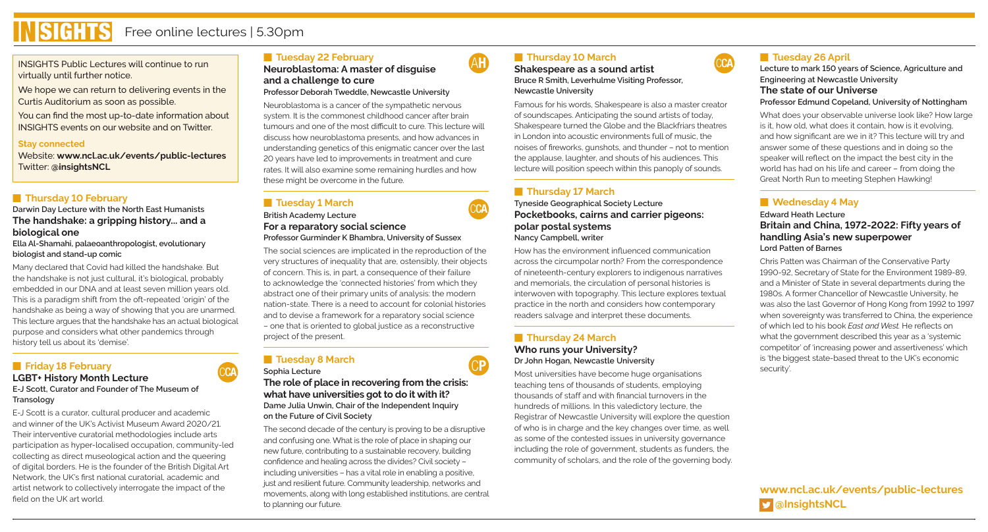

INSIGHTS Public Lectures will continue to run virtually until further notice.

We hope we can return to delivering events in the Curtis Auditorium as soon as possible.

You can find the most up-to-date information about INSIGHTS events on our website and on Twitter.

#### **Stay connected**

Website: **www.ncl.ac.uk/events/public-lectures** Twitter: **@insightsNCL**

## **Fall Thursday 10 February**

#### **Darwin Day Lecture with the North East Humanists The handshake: a gripping history... and a biological one**

**Ella Al-Shamahi, palaeoanthropologist, evolutionary biologist and stand-up comic**

Many declared that Covid had killed the handshake. But the handshake is not just cultural, it's biological, probably embedded in our DNA and at least seven million years old. This is a paradigm shift from the oft-repeated 'origin' of the handshake as being a way of showing that you are unarmed. This lecture argues that the handshake has an actual biological purpose and considers what other pandemics through history tell us about its 'demise'.

# **Friday 18 February**

# **LGBT+ History Month Lecture**

**E-J Scott, Curator and Founder of The Museum of Transology**

E-J Scott is a curator, cultural producer and academic and winner of the UK's Activist Museum Award 2020/21. Their interventive curatorial methodologies include arts participation as hyper-localised occupation, community-led collecting as direct museological action and the queering of digital borders. He is the founder of the British Digital Art Network, the UK's first national curatorial, academic and artist network to collectively interrogate the impact of the field on the UK art world.

# **Fall Tuesday 22 February**

**Neuroblastoma: A master of disguise and a challenge to cure Professor Deborah Tweddle, Newcastle University**

Neuroblastoma is a cancer of the sympathetic nervous system. It is the commonest childhood cancer after brain tumours and one of the most difficult to cure. This lecture will discuss how neuroblastoma presents, and how advances in understanding genetics of this enigmatic cancer over the last 20 years have led to improvements in treatment and cure rates. It will also examine some remaining hurdles and how these might be overcome in the future.

# **F** Tuesday 1 March

#### **British Academy Lecture For a reparatory social science Professor Gurminder K Bhambra, University of Sussex**

The social sciences are implicated in the reproduction of the very structures of inequality that are, ostensibly, their objects of concern. This is, in part, a consequence of their failure to acknowledge the 'connected histories' from which they abstract one of their primary units of analysis: the modern nation-state. There is a need to account for colonial histories and to devise a framework for a reparatory social science – one that is oriented to global justice as a reconstructive project of the present.

#### **F** Tuesday 8 March **Sophia Lecture** CCA Sophia Lecture CCP

**The role of place in recovering from the crisis: what have universities got to do it with it? Dame Julia Unwin, Chair of the Independent Inquiry on the Future of Civil Society**

The second decade of the century is proving to be a disruptive and confusing one. What is the role of place in shaping our new future, contributing to a sustainable recovery, building confidence and healing across the divides? Civil society – including universities – has a vital role in enabling a positive, just and resilient future. Community leadership, networks and movements, along with long established institutions, are central to planning our future.

## **F** Thursday 10 March

AH

CCA

**Shakespeare as a sound artist Bruce R Smith, Leverhulme Visiting Professor, Newcastle University**

Famous for his words, Shakespeare is also a master creator of soundscapes. Anticipating the sound artists of today, Shakespeare turned the Globe and the Blackfriars theatres in London into acoustic environments full of music, the noises of fireworks, gunshots, and thunder – not to mention the applause, laughter, and shouts of his audiences. This lecture will position speech within this panoply of sounds.

## **F** Thursday 17 March

**Tyneside Geographical Society Lecture Pocketbooks, cairns and carrier pigeons: polar postal systems Nancy Campbell, writer**

How has the environment influenced communication across the circumpolar north? From the correspondence of nineteenth-century explorers to indigenous narratives and memorials, the circulation of personal histories is interwoven with topography. This lecture explores textual practice in the north and considers how contemporary readers salvage and interpret these documents.

## **Fall Thursday 24 March Who runs your University? Dr John Hogan, Newcastle University**

Most universities have become huge organisations teaching tens of thousands of students, employing thousands of staff and with financial turnovers in the hundreds of millions. In this valedictory lecture, the Registrar of Newcastle University will explore the question of who is in charge and the key changes over time, as well as some of the contested issues in university governance including the role of government, students as funders, the community of scholars, and the role of the governing body.

# **F** Tuesday 26 April

**CCA** 

**Lecture to mark 150 years of Science, Agriculture and Engineering at Newcastle University The state of our Universe Professor Edmund Copeland, University of Nottingham**

What does your observable universe look like? How large is it, how old, what does it contain, how is it evolving, and how significant are we in it? This lecture will try and answer some of these questions and in doing so the speaker will reflect on the impact the best city in the world has had on his life and career – from doing the Great North Run to meeting Stephen Hawking!

# **Nednesday 4 May**

**Edward Heath Lecture Britain and China, 1972-2022: Fifty years of handling Asia's new superpower Lord Patten of Barnes**

Chris Patten was Chairman of the Conservative Party 1990-92, Secretary of State for the Environment 1989-89, and a Minister of State in several departments during the 1980s. A former Chancellor of Newcastle University, he was also the last Governor of Hong Kong from 1992 to 1997 when sovereignty was transferred to China, the experience of which led to his book *East and West.* He reflects on what the government described this year as a 'systemic competitor' of 'increasing power and assertiveness' which is 'the biggest state-based threat to the UK's economic security'.